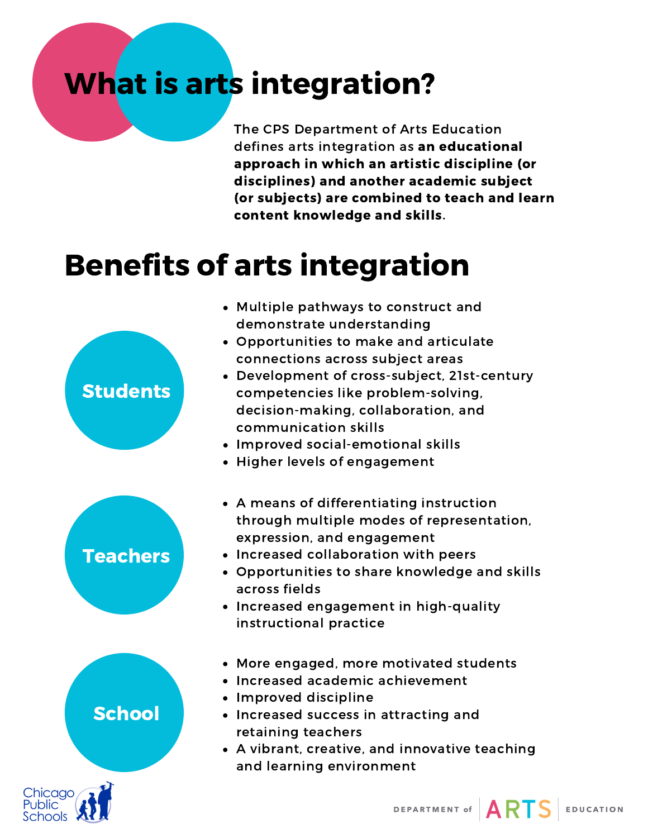# What is arts integration?

The CPS Department of Arts Education defines arts integration as an educational approach in which an artistic discipline (or disciplines) and another academic subject (or subjects) are combined to teach and learn content knowledge and skills.

## Benefits of arts integration

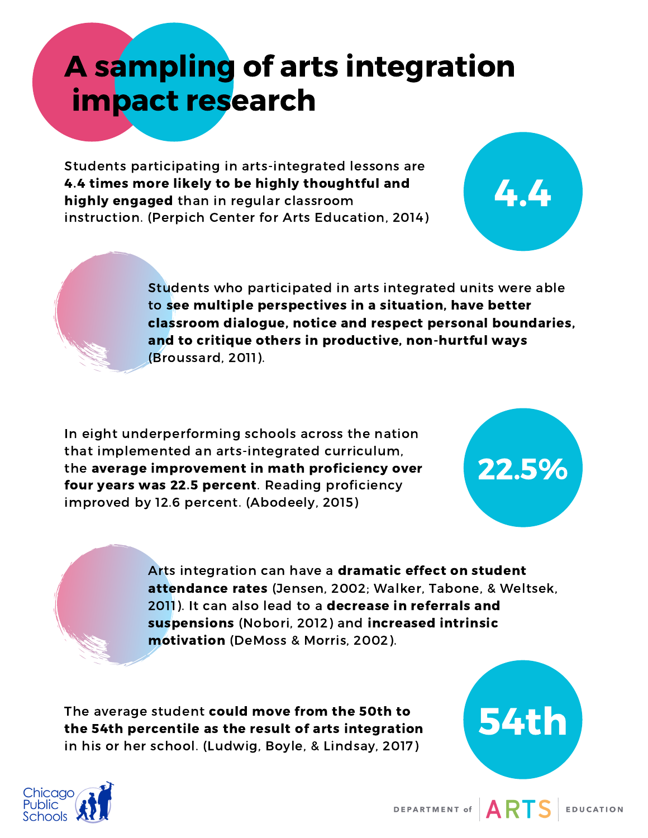## A sampling of arts integration impact research

Students participating in arts-integrated lessons are 4.4 times more likely to be highly thoughtful and highly engaged than in regular classroom instruction. (Perpich Center for Arts Education, 2014)



Students who participated in arts integrated units were able to see multiple perspectives in a situation, have better classroom dialogue, notice and respect personal boundaries, and to critique others in productive, non-hurtful ways (Broussard, 2011).

In eight underperforming schools across the nation that implemented an arts-integrated curriculum, the average improvement in math proficiency over four years was 22.5 percent. Reading proficiency improved by 12.6 percent. (Abodeely, 2015)



Arts integration can have a dramatic effect on student attendance rates (Jensen, 2002; Walker, Tabone, & Weltsek, 2011). It can also lead to a decrease in referrals and suspensions (Nobori, 2012) and increased intrinsic motivation (DeMoss & Morris, 2002).

The average student could move from the 50th to the 54th percentile as the result of arts integration in his or her school. (Ludwig, Boyle, & Lindsay, 2017)



54th